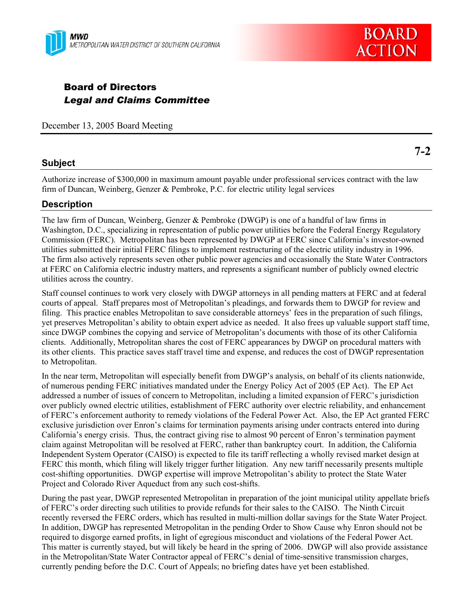



# Board of Directors *Legal and Claims Committee*

December 13, 2005 Board Meeting

### **Subject**

**7-2** 

Authorize increase of \$300,000 in maximum amount payable under professional services contract with the law firm of Duncan, Weinberg, Genzer & Pembroke, P.C. for electric utility legal services

#### **Description**

The law firm of Duncan, Weinberg, Genzer & Pembroke (DWGP) is one of a handful of law firms in Washington, D.C., specializing in representation of public power utilities before the Federal Energy Regulatory Commission (FERC). Metropolitan has been represented by DWGP at FERC since California's investor-owned utilities submitted their initial FERC filings to implement restructuring of the electric utility industry in 1996. The firm also actively represents seven other public power agencies and occasionally the State Water Contractors at FERC on California electric industry matters, and represents a significant number of publicly owned electric utilities across the country.

Staff counsel continues to work very closely with DWGP attorneys in all pending matters at FERC and at federal courts of appeal. Staff prepares most of Metropolitan's pleadings, and forwards them to DWGP for review and filing. This practice enables Metropolitan to save considerable attorneys' fees in the preparation of such filings, yet preserves Metropolitan's ability to obtain expert advice as needed. It also frees up valuable support staff time, since DWGP combines the copying and service of Metropolitan's documents with those of its other California clients. Additionally, Metropolitan shares the cost of FERC appearances by DWGP on procedural matters with its other clients. This practice saves staff travel time and expense, and reduces the cost of DWGP representation to Metropolitan.

In the near term, Metropolitan will especially benefit from DWGP's analysis, on behalf of its clients nationwide, of numerous pending FERC initiatives mandated under the Energy Policy Act of 2005 (EP Act). The EP Act addressed a number of issues of concern to Metropolitan, including a limited expansion of FERC's jurisdiction over publicly owned electric utilities, establishment of FERC authority over electric reliability, and enhancement of FERC's enforcement authority to remedy violations of the Federal Power Act. Also, the EP Act granted FERC exclusive jurisdiction over Enron's claims for termination payments arising under contracts entered into during California's energy crisis. Thus, the contract giving rise to almost 90 percent of Enron's termination payment claim against Metropolitan will be resolved at FERC, rather than bankruptcy court. In addition, the California Independent System Operator (CAISO) is expected to file its tariff reflecting a wholly revised market design at FERC this month, which filing will likely trigger further litigation. Any new tariff necessarily presents multiple cost-shifting opportunities. DWGP expertise will improve Metropolitan's ability to protect the State Water Project and Colorado River Aqueduct from any such cost-shifts.

During the past year, DWGP represented Metropolitan in preparation of the joint municipal utility appellate briefs of FERC's order directing such utilities to provide refunds for their sales to the CAISO. The Ninth Circuit recently reversed the FERC orders, which has resulted in multi-million dollar savings for the State Water Project. In addition, DWGP has represented Metropolitan in the pending Order to Show Cause why Enron should not be required to disgorge earned profits, in light of egregious misconduct and violations of the Federal Power Act. This matter is currently stayed, but will likely be heard in the spring of 2006. DWGP will also provide assistance in the Metropolitan/State Water Contractor appeal of FERC's denial of time-sensitive transmission charges, currently pending before the D.C. Court of Appeals; no briefing dates have yet been established.